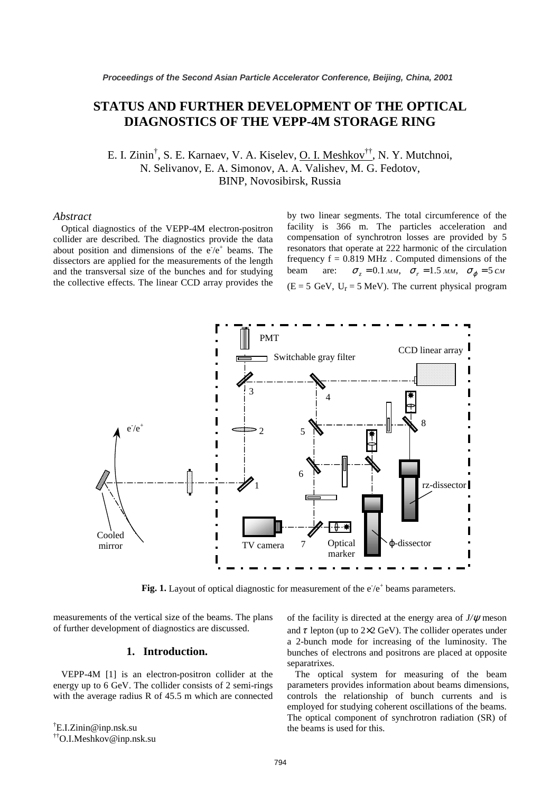# **STATUS AND FURTHER DEVELOPMENT OF THE OPTICAL DIAGNOSTICS OF THE VEPP-4M STORAGE RING**

E. I. Zinin<sup>†</sup>, S. E. Karnaev, V. A. Kiselev, <u>O. I. Meshkov<sup>††</sup>,</u> N. Y. Mutchnoi, N. Selivanov, E. A. Simonov, A. A. Valishev, M. G. Fedotov, BINP, Novosibirsk, Russia

## *Abstract*

Optical diagnostics of the VEPP-4M electron-positron collider are described. The diagnostics provide the data about position and dimensions of the  $e^{-}/e^{+}$  beams. The dissectors are applied for the measurements of the length and the transversal size of the bunches and for studying the collective effects. The linear CCD array provides the

by two linear segments. The total circumference of the facility is 366 m. The particles acceleration and compensation of synchrotron losses are provided by 5 resonators that operate at 222 harmonic of the circulation frequency  $f = 0.819$  MHz. Computed dimensions of the beam are:  $\sigma_z = 0.1 \text{ and } \sigma_r = 1.5 \text{ and } \sigma_\phi = 5 \text{ cm}$  $(E = 5 \text{ GeV}, U_r = 5 \text{ MeV})$ . The current physical program



Fig. 1. Layout of optical diagnostic for measurement of the  $e^+e^+$  beams parameters.

measurements of the vertical size of the beams. The plans of further development of diagnostics are discussed.

### **1. Introduction.**

VEPP-4M [1] is an electron-positron collider at the energy up to 6 GeV. The collider consists of 2 semi-rings with the average radius R of 45.5 m which are connected

† E.I.Zinin@inp.nsk.su ††O.I.Meshkov@inp.nsk.su of the facility is directed at the energy area of *J/*ψ meson and  $\tau$  lepton (up to 2×2 GeV). The collider operates under a 2-bunch mode for increasing of the luminosity. The bunches of electrons and positrons are placed at opposite separatrixes.

The optical system for measuring of the beam parameters provides information about beams dimensions, controls the relationship of bunch currents and is employed for studying coherent oscillations of the beams. The optical component of synchrotron radiation (SR) of the beams is used for this.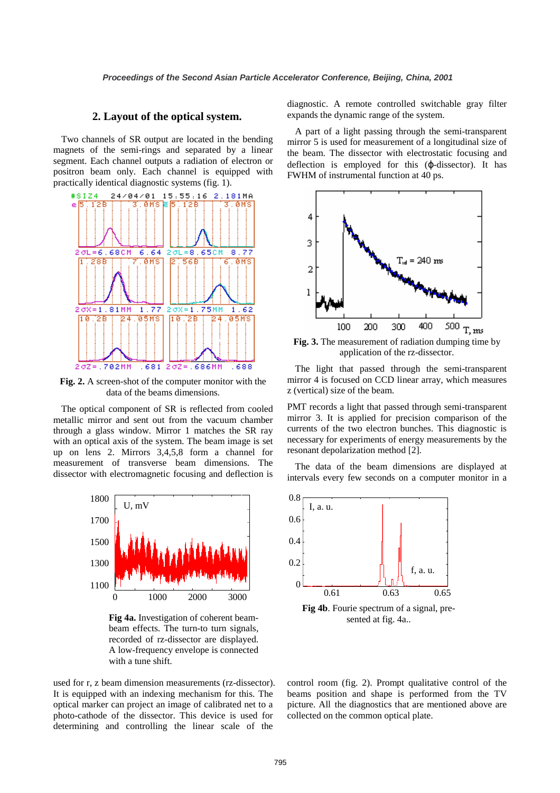### **2. Layout of the optical system.**

Two channels of SR output are located in the bending magnets of the semi-rings and separated by a linear segment. Each channel outputs a radiation of electron or positron beam only. Each channel is equipped with practically identical diagnostic systems (fig. 1).



**Fig. 2.** A screen-shot of the computer monitor with the data of the beams dimensions.

The optical component of SR is reflected from cooled metallic mirror and sent out from the vacuum chamber through a glass window. Mirror 1 matches the SR ray with an optical axis of the system. The beam image is set up on lens 2. Mirrors 3,4,5,8 form a channel for measurement of transverse beam dimensions. The dissector with electromagnetic focusing and deflection is



**Fig 4a.** Investigation of coherent beambeam effects. The turn-to turn signals, recorded of rz-dissector are displayed. A low-frequency envelope is connected with a tune shift.

used for r, z beam dimension measurements (rz-dissector). It is equipped with an indexing mechanism for this. The optical marker can project an image of calibrated net to a photo-cathode of the dissector. This device is used for determining and controlling the linear scale of the

diagnostic. A remote controlled switchable gray filter expands the dynamic range of the system.

A part of a light passing through the semi-transparent mirror 5 is used for measurement of a longitudinal size of the beam. The dissector with electrostatic focusing and deflection is employed for this (ϕ-dissector). It has FWHM of instrumental function at 40 ps.



**Fig. 3.** The measurement of radiation dumping time by application of the rz-dissector.

The light that passed through the semi-transparent mirror 4 is focused on CCD linear array, which measures z (vertical) size of the beam.

PMT records a light that passed through semi-transparent mirror 3. It is applied for precision comparison of the currents of the two electron bunches. This diagnostic is necessary for experiments of energy measurements by the resonant depolarization method [2].

The data of the beam dimensions are displayed at intervals every few seconds on a computer monitor in a



sented at fig. 4a..

control room (fig. 2). Prompt qualitative control of the beams position and shape is performed from the TV picture. All the diagnostics that are mentioned above are collected on the common optical plate.